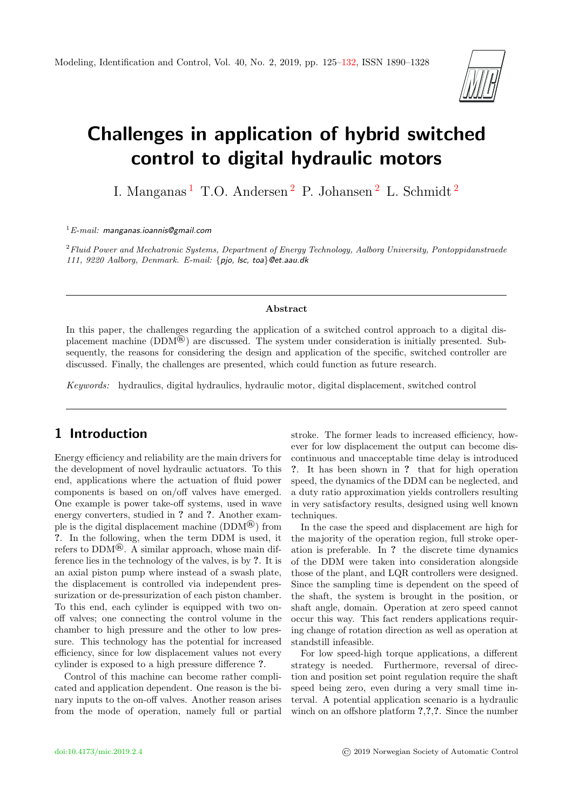

# Challenges in application of hybrid switched control to digital hydraulic motors

I. Manganas [1](#page-0-0) T.O. Andersen [2](#page-0-0) P. Johansen [2](#page-0-0) L. Schmidt [2](#page-0-0)

 ${}^{1}E$ -mail: manganas.ioannis@gmail.com

 $2$ Fluid Power and Mechatronic Systems, Department of Energy Technology, Aalborg University, Pontoppidanstraede 111, 9220 Aalborg, Denmark. E-mail: {pjo, lsc, toa}@et.aau.dk

#### Abstract

In this paper, the challenges regarding the application of a switched control approach to a digital displacement machine (DDM®) are discussed. The system under consideration is initially presented. Subsequently, the reasons for considering the design and application of the specific, switched controller are discussed. Finally, the challenges are presented, which could function as future research.

Keywords: hydraulics, digital hydraulics, hydraulic motor, digital displacement, switched control

## <span id="page-0-0"></span>1 Introduction

Energy efficiency and reliability are the main drivers for the development of novel hydraulic actuators. To this end, applications where the actuation of fluid power components is based on on/off valves have emerged. One example is power take-off systems, used in wave energy converters, studied in ? and ?. Another example is the digital displacement machine (DDM®) from ?. In the following, when the term DDM is used, it refers to DDM®. A similar approach, whose main difference lies in the technology of the valves, is by ?. It is an axial piston pump where instead of a swash plate, the displacement is controlled via independent pressurization or de-pressurization of each piston chamber. To this end, each cylinder is equipped with two onoff valves; one connecting the control volume in the chamber to high pressure and the other to low pressure. This technology has the potential for increased efficiency, since for low displacement values not every cylinder is exposed to a high pressure difference ?.

Control of this machine can become rather complicated and application dependent. One reason is the binary inputs to the on-off valves. Another reason arises from the mode of operation, namely full or partial stroke. The former leads to increased efficiency, however for low displacement the output can become discontinuous and unacceptable time delay is introduced ?. It has been shown in ? that for high operation speed, the dynamics of the DDM can be neglected, and a duty ratio approximation yields controllers resulting in very satisfactory results, designed using well known techniques.

In the case the speed and displacement are high for the majority of the operation region, full stroke operation is preferable. In ? the discrete time dynamics of the DDM were taken into consideration alongside those of the plant, and LQR controllers were designed. Since the sampling time is dependent on the speed of the shaft, the system is brought in the position, or shaft angle, domain. Operation at zero speed cannot occur this way. This fact renders applications requiring change of rotation direction as well as operation at standstill infeasible.

For low speed-high torque applications, a different strategy is needed. Furthermore, reversal of direction and position set point regulation require the shaft speed being zero, even during a very small time interval. A potential application scenario is a hydraulic winch on an offshore platform  $\mathcal{P}, \mathcal{P}, \mathcal{P}$ . Since the number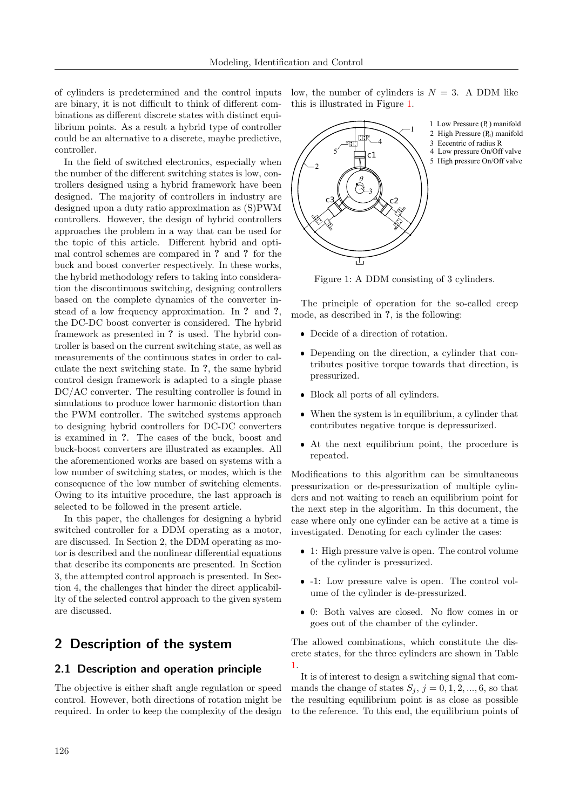of cylinders is predetermined and the control inputs are binary, it is not difficult to think of different combinations as different discrete states with distinct equilibrium points. As a result a hybrid type of controller could be an alternative to a discrete, maybe predictive, controller.

In the field of switched electronics, especially when the number of the different switching states is low, controllers designed using a hybrid framework have been designed. The majority of controllers in industry are designed upon a duty ratio approximation as (S)PWM controllers. However, the design of hybrid controllers approaches the problem in a way that can be used for the topic of this article. Different hybrid and optimal control schemes are compared in ? and ? for the buck and boost converter respectively. In these works, the hybrid methodology refers to taking into consideration the discontinuous switching, designing controllers based on the complete dynamics of the converter instead of a low frequency approximation. In ? and ?, the DC-DC boost converter is considered. The hybrid framework as presented in ? is used. The hybrid controller is based on the current switching state, as well as measurements of the continuous states in order to calculate the next switching state. In ?, the same hybrid control design framework is adapted to a single phase DC/AC converter. The resulting controller is found in simulations to produce lower harmonic distortion than the PWM controller. The switched systems approach to designing hybrid controllers for DC-DC converters is examined in ?. The cases of the buck, boost and buck-boost converters are illustrated as examples. All the aforementioned works are based on systems with a low number of switching states, or modes, which is the consequence of the low number of switching elements. Owing to its intuitive procedure, the last approach is selected to be followed in the present article.

In this paper, the challenges for designing a hybrid switched controller for a DDM operating as a motor, are discussed. In Section 2, the DDM operating as motor is described and the nonlinear differential equations that describe its components are presented. In Section 3, the attempted control approach is presented. In Section 4, the challenges that hinder the direct applicability of the selected control approach to the given system are discussed.

## 2 Description of the system

#### 2.1 Description and operation principle

The objective is either shaft angle regulation or speed control. However, both directions of rotation might be required. In order to keep the complexity of the design low, the number of cylinders is  $N = 3$ . A DDM like this is illustrated in Figure [1.](#page-1-0)

<span id="page-1-0"></span>

Figure 1: A DDM consisting of 3 cylinders.

The principle of operation for the so-called creep mode, as described in ?, is the following:

- Decide of a direction of rotation.
- Depending on the direction, a cylinder that contributes positive torque towards that direction, is pressurized.
- Block all ports of all cylinders.
- When the system is in equilibrium, a cylinder that contributes negative torque is depressurized.
- At the next equilibrium point, the procedure is repeated.

Modifications to this algorithm can be simultaneous pressurization or de-pressurization of multiple cylinders and not waiting to reach an equilibrium point for the next step in the algorithm. In this document, the case where only one cylinder can be active at a time is investigated. Denoting for each cylinder the cases:

- 1: High pressure valve is open. The control volume of the cylinder is pressurized.
- -1: Low pressure valve is open. The control volume of the cylinder is de-pressurized.
- 0: Both valves are closed. No flow comes in or goes out of the chamber of the cylinder.

The allowed combinations, which constitute the discrete states, for the three cylinders are shown in Table [1.](#page-2-0)

It is of interest to design a switching signal that commands the change of states  $S_j$ ,  $j = 0, 1, 2, ..., 6$ , so that the resulting equilibrium point is as close as possible to the reference. To this end, the equilibrium points of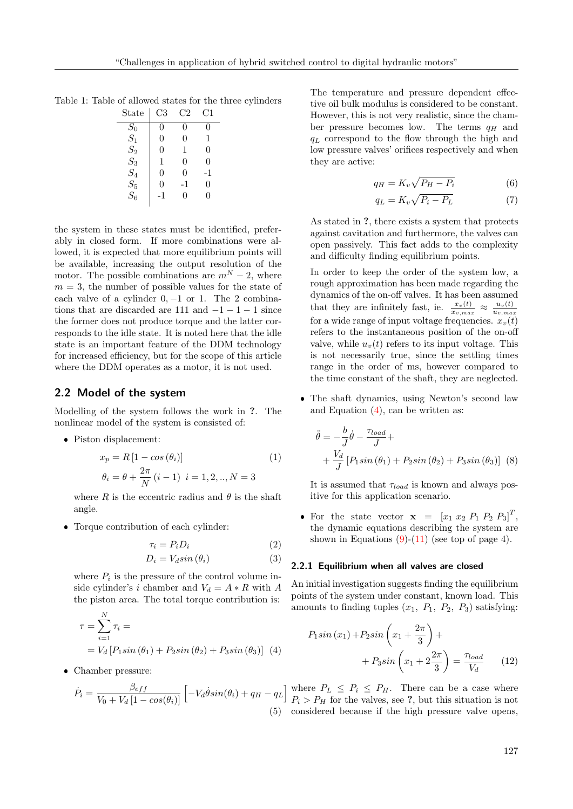<span id="page-2-0"></span>

| Table 1: Table of allowed states for the three cylinders |
|----------------------------------------------------------|
|----------------------------------------------------------|

| $\operatorname{State}$ | C3       | C2 | C1          |
|------------------------|----------|----|-------------|
| $S_0$                  | 0        | 0  | 0           |
| $S_1$                  | $\theta$ | 0  | $\mathbf 1$ |
| $S_2$                  | $\theta$ | 1  | 0           |
| $S_3$                  | 1        | 0  | 0           |
| $S_4$                  | 0        | 0  | -1          |
| $S_5$                  | $\theta$ | -1 | 0           |
| $S_6$                  | $-1$     | 0  | 0           |
|                        |          |    |             |

the system in these states must be identified, preferably in closed form. If more combinations were allowed, it is expected that more equilibrium points will be available, increasing the output resolution of the motor. The possible combinations are  $m^N - 2$ , where  $m = 3$ , the number of possible values for the state of each valve of a cylinder  $0, -1$  or 1. The 2 combinations that are discarded are 111 and  $-1-1-1$  since the former does not produce torque and the latter corresponds to the idle state. It is noted here that the idle state is an important feature of the DDM technology for increased efficiency, but for the scope of this article where the DDM operates as a motor, it is not used.

#### 2.2 Model of the system

Modelling of the system follows the work in ?. The nonlinear model of the system is consisted of:

Piston displacement:

$$
x_p = R[1 - \cos(\theta_i)]
$$
  
\n
$$
\theta_i = \theta + \frac{2\pi}{N} (i - 1) \quad i = 1, 2, ..., N = 3
$$
\n(1)

where  $R$  is the eccentric radius and  $\theta$  is the shaft angle.

Torque contribution of each cylinder:

$$
\tau_i = P_i D_i \tag{2}
$$

$$
D_i = V_d \sin(\theta_i) \tag{3}
$$

where  $P_i$  is the pressure of the control volume inside cylinder's i chamber and  $V_d = A * R$  with A the piston area. The total torque contribution is:

$$
\tau = \sum_{i=1}^{N} \tau_i =
$$
  
=  $V_d [P_1 \sin (\theta_1) + P_2 \sin (\theta_2) + P_3 \sin (\theta_3)]$  (4)

Chamber pressure:

$$
\dot{P}_i = \frac{\beta_{eff}}{V_0 + V_d \left[1 - \cos(\theta_i)\right]} \left[-V_d \dot{\theta} \sin(\theta_i) + q_H - q_L\right]
$$
\n(5)

The temperature and pressure dependent effective oil bulk modulus is considered to be constant. However, this is not very realistic, since the chamber pressure becomes low. The terms  $q_H$  and  $q_L$  correspond to the flow through the high and low pressure valves' orifices respectively and when they are active:

$$
q_H = K_v \sqrt{P_H - P_i} \tag{6}
$$

$$
q_L = K_v \sqrt{P_i - P_L} \tag{7}
$$

As stated in ?, there exists a system that protects against cavitation and furthermore, the valves can open passively. This fact adds to the complexity and difficulty finding equilibrium points.

In order to keep the order of the system low, a rough approximation has been made regarding the dynamics of the on-off valves. It has been assumed that they are infinitely fast, ie.  $\frac{x_v(t)}{x_{v,max}} \approx \frac{u_v(t)}{u_{v,max}}$  $u_{v,max}$ for a wide range of input voltage frequencies.  $x_v(t)$ refers to the instantaneous position of the on-off valve, while  $u<sub>v</sub>(t)$  refers to its input voltage. This is not necessarily true, since the settling times range in the order of ms, however compared to the time constant of the shaft, they are neglected.

 The shaft dynamics, using Newton's second law and Equation  $(4)$ , can be written as:

$$
\ddot{\theta} = -\frac{b}{J}\dot{\theta} - \frac{\tau_{load}}{J} + \n+ \frac{V_d}{J} [P_1 \sin (\theta_1) + P_2 \sin (\theta_2) + P_3 \sin (\theta_3)]
$$
 (8)

It is assumed that  $\tau_{load}$  is known and always positive for this application scenario.

• For the state vector  $\mathbf{x} = [x_1 \ x_2 \ P_1 \ P_2 \ P_3]^T$ , the dynamic equations describing the system are shown in Equations  $(9)-(11)$  $(9)-(11)$  $(9)-(11)$  (see top of page 4).

#### <span id="page-2-3"></span>2.2.1 Equilibrium when all valves are closed

An initial investigation suggests finding the equilibrium points of the system under constant, known load. This amounts to finding tuples  $(x_1, P_1, P_2, P_3)$  satisfying:

<span id="page-2-2"></span><span id="page-2-1"></span>
$$
P_1 \sin(x_1) + P_2 \sin\left(x_1 + \frac{2\pi}{3}\right) +
$$

$$
+ P_3 \sin\left(x_1 + 2\frac{2\pi}{3}\right) = \frac{\tau_{load}}{V_d} \qquad (12)
$$

where  $P_L \leq P_i \leq P_H$ . There can be a case where  $P_i > P_H$  for the valves, see ?, but this situation is not considered because if the high pressure valve opens,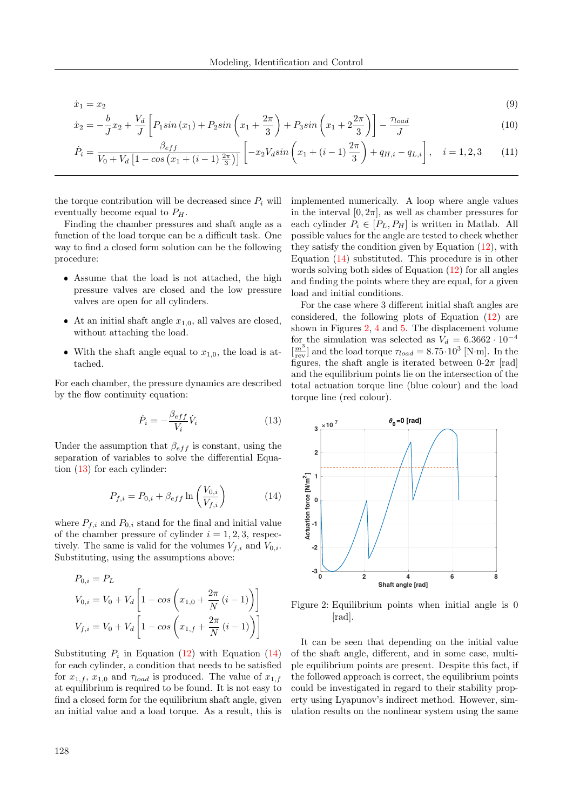$$
\begin{aligned} \dot{x}_1 &= x_2 \tag{9} \\ \dot{x}_2 &= -\frac{b}{\tau} x_2 + \frac{V_d}{\tau} \left[ P_1 \sin \left( x_1 \right) + P_2 \sin \left( x_1 + \frac{2\pi}{\rho} \right) + P_3 \sin \left( x_1 + 2\frac{2\pi}{\rho} \right) \right] - \frac{\tau_{load}}{\tau} \end{aligned} \tag{10}
$$

$$
\dot{x}_2 = -\frac{b}{J}x_2 + \frac{V_d}{J} \left[ P_1 \sin(x_1) + P_2 \sin\left(x_1 + \frac{2\pi}{3}\right) + P_3 \sin\left(x_1 + 2\frac{2\pi}{3}\right) \right] - \frac{\tau_{load}}{J}
$$
\n
$$
\dot{P}_1 = V_1 \sin\left(x_1 + \frac{2\pi}{3}\right) + P_3 \sin\left(x_1 + \frac{2\pi}{3}\right) + \frac{\tau_{load}}{J}
$$
\n(10)

$$
\dot{P}_i = \frac{\beta_{eff}}{V_0 + V_d \left[1 - \cos\left(x_1 + (i-1)\frac{2\pi}{3}\right)\right]} \left[-x_2 V_d \sin\left(x_1 + (i-1)\frac{2\pi}{3}\right) + q_{H,i} - q_{L,i}\right], \quad i = 1, 2, 3 \tag{11}
$$

the torque contribution will be decreased since  $P_i$  will eventually become equal to  $P_H$ .

Finding the chamber pressures and shaft angle as a function of the load torque can be a difficult task. One way to find a closed form solution can be the following procedure:

- Assume that the load is not attached, the high pressure valves are closed and the low pressure valves are open for all cylinders.
- At an initial shaft angle  $x_{1,0}$ , all valves are closed, without attaching the load.
- With the shaft angle equal to  $x_{1,0}$ , the load is attached.

For each chamber, the pressure dynamics are described by the flow continuity equation:

$$
\dot{P}_i = -\frac{\beta_{eff}}{V_i}\dot{V}_i
$$
\n(13)

Under the assumption that  $\beta_{eff}$  is constant, using the separation of variables to solve the differential Equation [\(13\)](#page-3-2) for each cylinder:

$$
P_{f,i} = P_{0,i} + \beta_{eff} \ln\left(\frac{V_{0,i}}{V_{f,i}}\right)
$$
 (14)

where  $P_{f,i}$  and  $P_{0,i}$  stand for the final and initial value of the chamber pressure of cylinder  $i = 1, 2, 3$ , respectively. The same is valid for the volumes  $V_{f,i}$  and  $V_{0,i}$ . Substituting, using the assumptions above:

$$
P_{0,i} = P_L
$$
  
\n
$$
V_{0,i} = V_0 + V_d \left[ 1 - \cos \left( x_{1,0} + \frac{2\pi}{N} (i - 1) \right) \right]
$$
  
\n
$$
V_{f,i} = V_0 + V_d \left[ 1 - \cos \left( x_{1,f} + \frac{2\pi}{N} (i - 1) \right) \right]
$$

Substituting  $P_i$  in Equation [\(12\)](#page-2-2) with Equation [\(14\)](#page-3-3) for each cylinder, a condition that needs to be satisfied for  $x_{1,f}$ ,  $x_{1,0}$  and  $\tau_{load}$  is produced. The value of  $x_{1,f}$ at equilibrium is required to be found. It is not easy to find a closed form for the equilibrium shaft angle, given an initial value and a load torque. As a result, this is <span id="page-3-1"></span><span id="page-3-0"></span>implemented numerically. A loop where angle values in the interval  $[0, 2\pi]$ , as well as chamber pressures for each cylinder  $P_i \in [P_L, P_H]$  is written in Matlab. All possible values for the angle are tested to check whether they satisfy the condition given by Equation [\(12\)](#page-2-2), with Equation [\(14\)](#page-3-3) substituted. This procedure is in other words solving both sides of Equation [\(12\)](#page-2-2) for all angles and finding the points where they are equal, for a given load and initial conditions.

For the case where 3 different initial shaft angles are considered, the following plots of Equation [\(12\)](#page-2-2) are shown in Figures [2,](#page-3-4) [4](#page-4-0) and [5.](#page-4-1) The displacement volume for the simulation was selected as  $V_d = 6.3662 \cdot 10^{-4}$  $\left[\frac{m^3}{\text{rev}}\right]$  and the load torque  $\tau_{load} = 8.75 \cdot 10^3$  [N·m]. In the figures, the shaft angle is iterated between  $0-2\pi$  [rad] and the equilibrium points lie on the intersection of the total actuation torque line (blue colour) and the load torque line (red colour).

<span id="page-3-4"></span><span id="page-3-3"></span><span id="page-3-2"></span>

Figure 2: Equilibrium points when initial angle is 0 [rad].

It can be seen that depending on the initial value of the shaft angle, different, and in some case, multiple equilibrium points are present. Despite this fact, if the followed approach is correct, the equilibrium points could be investigated in regard to their stability property using Lyapunov's indirect method. However, simulation results on the nonlinear system using the same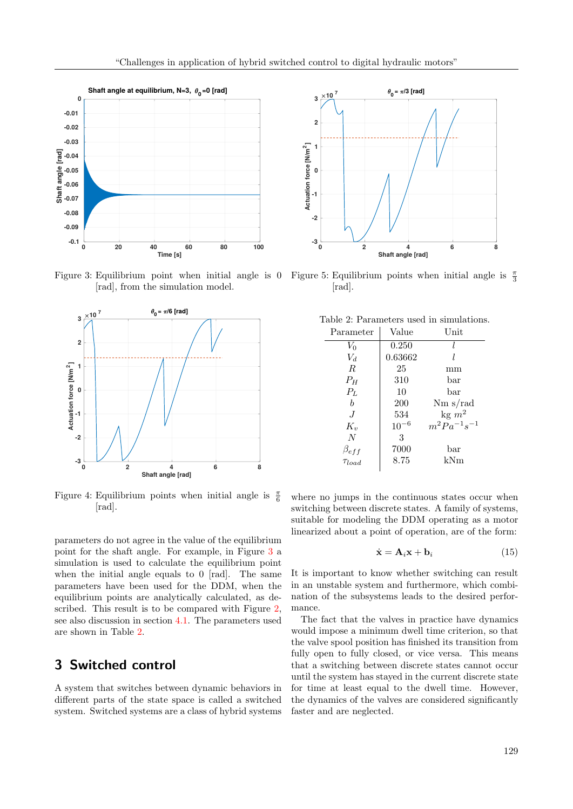<span id="page-4-2"></span>

Figure 3: Equilibrium point when initial angle is 0 Figure 5: Equilibrium points when initial angle is  $\frac{\pi}{3}$ [rad], from the simulation model.

<span id="page-4-0"></span>

Figure 4: Equilibrium points when initial angle is  $\frac{\pi}{6}$ [rad].

parameters do not agree in the value of the equilibrium point for the shaft angle. For example, in Figure [3](#page-4-2) a simulation is used to calculate the equilibrium point when the initial angle equals to 0 [rad]. The same parameters have been used for the DDM, when the equilibrium points are analytically calculated, as described. This result is to be compared with Figure [2,](#page-3-4) see also discussion in section [4.1.](#page-6-0) The parameters used are shown in Table [2.](#page-4-3)

## 3 Switched control

A system that switches between dynamic behaviors in different parts of the state space is called a switched system. Switched systems are a class of hybrid systems

<span id="page-4-1"></span>

<span id="page-4-3"></span>[rad].

| Table 2: Parameters used in simulations. |
|------------------------------------------|
|------------------------------------------|

| Parameter                   | Value     | Unit                |
|-----------------------------|-----------|---------------------|
| $V_0$                       | 0.250     |                     |
| $V_d$                       | 0.63662   |                     |
| $\boldsymbol{R}$            | 25        | mm                  |
| $P_H$                       | 310       | bar                 |
| $P_L$                       | 10        | bar                 |
| h                           | 200       | $Nm$ s/rad          |
| $J_{\cdot}$                 | 534       | $\text{kg } m^2$    |
| $K_v$                       | $10^{-6}$ | $m^2 Pa^{-1}s^{-1}$ |
| $\overline{N}$              | 3         |                     |
|                             | 7000      | bar                 |
| $\beta_{eff} \ \tau_{load}$ | 8.75      | kNm                 |

where no jumps in the continuous states occur when switching between discrete states. A family of systems, suitable for modeling the DDM operating as a motor linearized about a point of operation, are of the form:

<span id="page-4-4"></span>
$$
\dot{\mathbf{x}} = \mathbf{A}_i \mathbf{x} + \mathbf{b}_i \tag{15}
$$

It is important to know whether switching can result in an unstable system and furthermore, which combination of the subsystems leads to the desired performance.

The fact that the valves in practice have dynamics would impose a minimum dwell time criterion, so that the valve spool position has finished its transition from fully open to fully closed, or vice versa. This means that a switching between discrete states cannot occur until the system has stayed in the current discrete state for time at least equal to the dwell time. However, the dynamics of the valves are considered significantly faster and are neglected.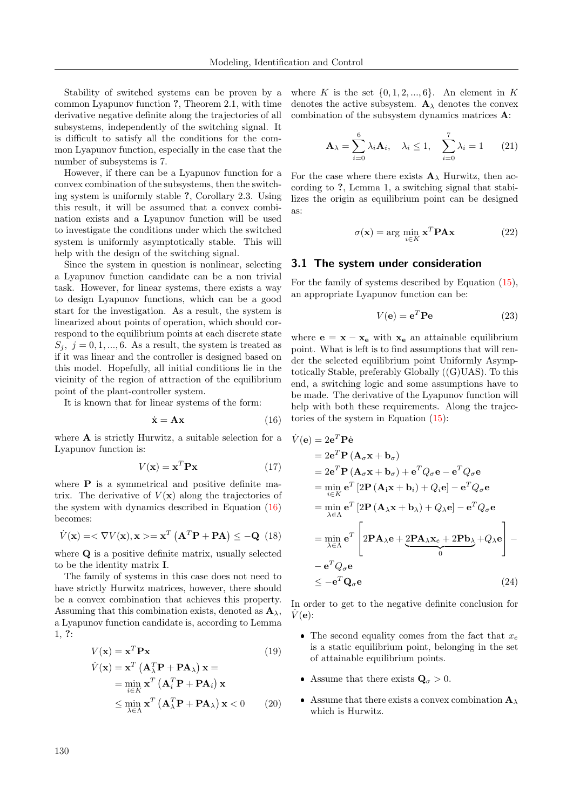<span id="page-5-0"></span> $\dot{V}$ 

Stability of switched systems can be proven by a common Lyapunov function ?, Theorem 2.1, with time derivative negative definite along the trajectories of all subsystems, independently of the switching signal. It is difficult to satisfy all the conditions for the common Lyapunov function, especially in the case that the number of subsystems is 7.

However, if there can be a Lyapunov function for a convex combination of the subsystems, then the switching system is uniformly stable ?, Corollary 2.3. Using this result, it will be assumed that a convex combination exists and a Lyapunov function will be used to investigate the conditions under which the switched system is uniformly asymptotically stable. This will help with the design of the switching signal.

Since the system in question is nonlinear, selecting a Lyapunov function candidate can be a non trivial task. However, for linear systems, there exists a way to design Lyapunov functions, which can be a good start for the investigation. As a result, the system is linearized about points of operation, which should correspond to the equilibrium points at each discrete state  $S_j, j = 0, 1, ..., 6$ . As a result, the system is treated as if it was linear and the controller is designed based on this model. Hopefully, all initial conditions lie in the vicinity of the region of attraction of the equilibrium point of the plant-controller system.

It is known that for linear systems of the form:

$$
\dot{\mathbf{x}} = \mathbf{A}\mathbf{x} \tag{16}
$$

where A is strictly Hurwitz, a suitable selection for a Lyapunov function is:

$$
V(\mathbf{x}) = \mathbf{x}^T \mathbf{P} \mathbf{x}
$$
 (17)

where  $P$  is a symmetrical and positive definite matrix. The derivative of  $V(\mathbf{x})$  along the trajectories of the system with dynamics described in Equation [\(16\)](#page-5-0) becomes:

$$
\dot{V}(\mathbf{x}) = \langle \nabla V(\mathbf{x}), \mathbf{x} \rangle = \mathbf{x}^T (\mathbf{A}^T \mathbf{P} + \mathbf{P} \mathbf{A}) \le -\mathbf{Q} \tag{18}
$$

where **Q** is a positive definite matrix, usually selected to be the identity matrix I.

The family of systems in this case does not need to have strictly Hurwitz matrices, however, there should be a convex combination that achieves this property. Assuming that this combination exists, denoted as  $\mathbf{A}_{\lambda}$ , a Lyapunov function candidate is, according to Lemma 1, ?:

$$
V(\mathbf{x}) = \mathbf{x}^T \mathbf{P} \mathbf{x}
$$
(19)  
\n
$$
\dot{V}(\mathbf{x}) = \mathbf{x}^T (\mathbf{A}_{\lambda}^T \mathbf{P} + \mathbf{P} \mathbf{A}_{\lambda}) \mathbf{x} =
$$
\n
$$
= \min_{i \in K} \mathbf{x}^T (\mathbf{A}_i^T \mathbf{P} + \mathbf{P} \mathbf{A}_i) \mathbf{x}
$$
\n
$$
\leq \min_{\lambda \in \Lambda} \mathbf{x}^T (\mathbf{A}_{\lambda}^T \mathbf{P} + \mathbf{P} \mathbf{A}_{\lambda}) \mathbf{x} < 0
$$
(20)

where K is the set  $\{0, 1, 2, ..., 6\}$ . An element in K denotes the active subsystem.  $\mathbf{A}_{\lambda}$  denotes the convex combination of the subsystem dynamics matrices A:

$$
\mathbf{A}_{\lambda} = \sum_{i=0}^{6} \lambda_i \mathbf{A}_i, \quad \lambda_i \le 1, \quad \sum_{i=0}^{7} \lambda_i = 1 \qquad (21)
$$

For the case where there exists  $\mathbf{A}_{\lambda}$  Hurwitz, then according to ?, Lemma 1, a switching signal that stabilizes the origin as equilibrium point can be designed as:

$$
\sigma(\mathbf{x}) = \arg\min_{i \in K} \mathbf{x}^T \mathbf{P} \mathbf{A} \mathbf{x}
$$
 (22)

#### 3.1 The system under consideration

For the family of systems described by Equation [\(15\)](#page-4-4), an appropriate Lyapunov function can be:

$$
V(\mathbf{e}) = \mathbf{e}^T \mathbf{P} \mathbf{e}
$$
 (23)

where  $\mathbf{e} = \mathbf{x} - \mathbf{x}_e$  with  $\mathbf{x}_e$  an attainable equilibrium point. What is left is to find assumptions that will render the selected equilibrium point Uniformly Asymptotically Stable, preferably Globally ((G)UAS). To this end, a switching logic and some assumptions have to be made. The derivative of the Lyapunov function will help with both these requirements. Along the trajectories of the system in Equation [\(15\)](#page-4-4):

$$
(\mathbf{e}) = 2\mathbf{e}^T \mathbf{P} \dot{\mathbf{e}}
$$
  
\n
$$
= 2\mathbf{e}^T \mathbf{P} (\mathbf{A}_{\sigma} \mathbf{x} + \mathbf{b}_{\sigma})
$$
  
\n
$$
= 2\mathbf{e}^T \mathbf{P} (\mathbf{A}_{\sigma} \mathbf{x} + \mathbf{b}_{\sigma}) + \mathbf{e}^T Q_{\sigma} \mathbf{e} - \mathbf{e}^T Q_{\sigma} \mathbf{e}
$$
  
\n
$$
= \min_{i \in K} \mathbf{e}^T [2\mathbf{P} (\mathbf{A}_i \mathbf{x} + \mathbf{b}_i) + Q_i \mathbf{e}] - \mathbf{e}^T Q_{\sigma} \mathbf{e}
$$
  
\n
$$
= \min_{\lambda \in \Lambda} \mathbf{e}^T [2\mathbf{P} (\mathbf{A}_\lambda \mathbf{x} + \mathbf{b}_\lambda) + Q_\lambda \mathbf{e}] - \mathbf{e}^T Q_{\sigma} \mathbf{e}
$$
  
\n
$$
= \min_{\lambda \in \Lambda} \mathbf{e}^T \left[ 2\mathbf{P} \mathbf{A}_\lambda \mathbf{e} + \underbrace{2\mathbf{P} \mathbf{A}_\lambda \mathbf{x}_e + 2\mathbf{P} \mathbf{b}_\lambda}_{0} + Q_\lambda \mathbf{e} \right] -
$$
  
\n
$$
- \mathbf{e}^T Q_{\sigma} \mathbf{e}
$$
  
\n
$$
\leq -\mathbf{e}^T \mathbf{Q}_{\sigma} \mathbf{e}
$$
  
\n(24)

In order to get to the negative definite conclusion for  $V(\mathbf{e})$ :

- The second equality comes from the fact that  $x_e$ is a static equilibrium point, belonging in the set of attainable equilibrium points.
- Assume that there exists  $\mathbf{Q}_{\sigma} > 0$ .
- Assume that there exists a convex combination  $\mathbf{A}_{\lambda}$ which is Hurwitz.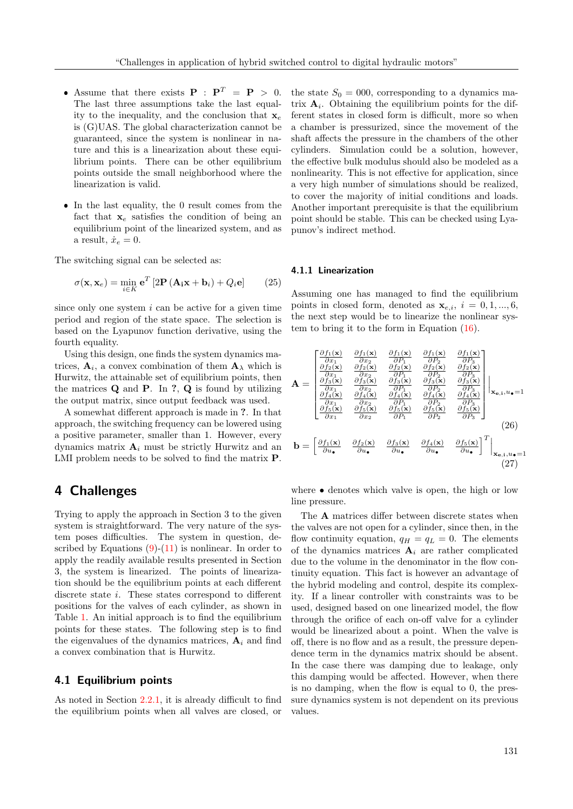- Assume that there exists  $P : P^T = P > 0$ . The last three assumptions take the last equality to the inequality, and the conclusion that  $x_e$ is (G)UAS. The global characterization cannot be guaranteed, since the system is nonlinear in nature and this is a linearization about these equilibrium points. There can be other equilibrium points outside the small neighborhood where the linearization is valid.
- In the last equality, the 0 result comes from the fact that  $x_e$  satisfies the condition of being an equilibrium point of the linearized system, and as a result,  $\dot{x}_e = 0$ .

The switching signal can be selected as:

$$
\sigma(\mathbf{x}, \mathbf{x}_e) = \min_{i \in K} \mathbf{e}^T \left[ 2\mathbf{P} \left( \mathbf{A}_i \mathbf{x} + \mathbf{b}_i \right) + Q_i \mathbf{e} \right] \tag{25}
$$

since only one system  $i$  can be active for a given time period and region of the state space. The selection is based on the Lyapunov function derivative, using the fourth equality.

Using this design, one finds the system dynamics matrices,  $A_i$ , a convex combination of them  $A_{\lambda}$  which is Hurwitz, the attainable set of equilibrium points, then the matrices  $Q$  and  $P$ . In  $?$ ,  $Q$  is found by utilizing the output matrix, since output feedback was used.

A somewhat different approach is made in ?. In that approach, the switching frequency can be lowered using a positive parameter, smaller than 1. However, every dynamics matrix  $A_i$  must be strictly Hurwitz and an LMI problem needs to be solved to find the matrix P.

## 4 Challenges

Trying to apply the approach in Section 3 to the given system is straightforward. The very nature of the system poses difficulties. The system in question, described by Equations  $(9)-(11)$  $(9)-(11)$  $(9)-(11)$  is nonlinear. In order to apply the readily available results presented in Section 3, the system is linearized. The points of linearization should be the equilibrium points at each different discrete state i. These states correspond to different positions for the valves of each cylinder, as shown in Table [1.](#page-2-0) An initial approach is to find the equilibrium points for these states. The following step is to find the eigenvalues of the dynamics matrices,  $A_i$  and find a convex combination that is Hurwitz.

### <span id="page-6-0"></span>4.1 Equilibrium points

As noted in Section [2.2.1,](#page-2-3) it is already difficult to find the equilibrium points when all valves are closed, or the state  $S_0 = 000$ , corresponding to a dynamics matrix  $A_i$ . Obtaining the equilibrium points for the different states in closed form is difficult, more so when a chamber is pressurized, since the movement of the shaft affects the pressure in the chambers of the other cylinders. Simulation could be a solution, however, the effective bulk modulus should also be modeled as a nonlinearity. This is not effective for application, since a very high number of simulations should be realized, to cover the majority of initial conditions and loads. Another important prerequisite is that the equilibrium point should be stable. This can be checked using Lyapunov's indirect method.

#### 4.1.1 Linearization

Assuming one has managed to find the equilibrium points in closed form, denoted as  $\mathbf{x}_{e,i}$ ,  $i = 0, 1, ..., 6$ , the next step would be to linearize the nonlinear system to bring it to the form in Equation [\(16\)](#page-5-0).

$$
\mathbf{A} = \begin{bmatrix} \frac{\partial f_1(\mathbf{x})}{\partial x_1} & \frac{\partial f_1(\mathbf{x})}{\partial x_2} & \frac{\partial f_1(\mathbf{x})}{\partial P_1} & \frac{\partial f_1(\mathbf{x})}{\partial P_2} & \frac{\partial f_1(\mathbf{x})}{\partial P_3} \\ \frac{\partial f_2(\mathbf{x})}{\partial x_1} & \frac{\partial f_2(\mathbf{x})}{\partial x_2} & \frac{\partial f_2(\mathbf{x})}{\partial P_1} & \frac{\partial f_2(\mathbf{x})}{\partial P_2} & \frac{\partial f_2(\mathbf{x})}{\partial P_3} \\ \frac{\partial f_3(\mathbf{x})}{\partial x_1} & \frac{\partial f_3(\mathbf{x})}{\partial x_2} & \frac{\partial f_3(\mathbf{x})}{\partial P_1} & \frac{\partial f_3(\mathbf{x})}{\partial P_2} & \frac{\partial f_3(\mathbf{x})}{\partial P_3} \\ \frac{\partial f_4(\mathbf{x})}{\partial x_1} & \frac{\partial f_4(\mathbf{x})}{\partial x_2} & \frac{\partial f_4(\mathbf{x})}{\partial P_1} & \frac{\partial f_4(\mathbf{x})}{\partial P_2} & \frac{\partial f_4(\mathbf{x})}{\partial P_3} \\ \frac{\partial f_5(\mathbf{x})}{\partial x_1} & \frac{\partial f_5(\mathbf{x})}{\partial x_2} & \frac{\partial f_5(\mathbf{x})}{\partial P_1} & \frac{\partial f_5(\mathbf{x})}{\partial P_2} & \frac{\partial f_5(\mathbf{x})}{\partial P_3} \end{bmatrix} \mathbf{x}_{\mathbf{e},i}, u_{\bullet} = 1
$$
\n
$$
\mathbf{b} = \begin{bmatrix} \frac{\partial f_1(\mathbf{x})}{\partial u_{\bullet}} & \frac{\partial f_2(\mathbf{x})}{\partial u_{\bullet}} & \frac{\partial f_3(\mathbf{x})}{\partial u_{\bullet}} & \frac{\partial f_4(\mathbf{x})}{\partial u_{\bullet}} & \frac{\partial f_5(\mathbf{x})}{\partial u_{\bullet}} \end{bmatrix}^T \Big|_{\mathbf{x}_{\mathbf{e},i}, u_{\bullet} = 1}
$$
\n(26)\n
$$
\mathbf{b} = \begin{bmatrix} \frac{\partial f_1(\mathbf{x})}{\partial u_{\bullet}} & \frac{\partial f_2(\mathbf{x})}{\
$$

where • denotes which valve is open, the high or low line pressure.

The A matrices differ between discrete states when the valves are not open for a cylinder, since then, in the flow continuity equation,  $q_H = q_L = 0$ . The elements of the dynamics matrices  $A_i$  are rather complicated due to the volume in the denominator in the flow continuity equation. This fact is however an advantage of the hybrid modeling and control, despite its complexity. If a linear controller with constraints was to be used, designed based on one linearized model, the flow through the orifice of each on-off valve for a cylinder would be linearized about a point. When the valve is off, there is no flow and as a result, the pressure dependence term in the dynamics matrix should be absent. In the case there was damping due to leakage, only this damping would be affected. However, when there is no damping, when the flow is equal to 0, the pressure dynamics system is not dependent on its previous values.